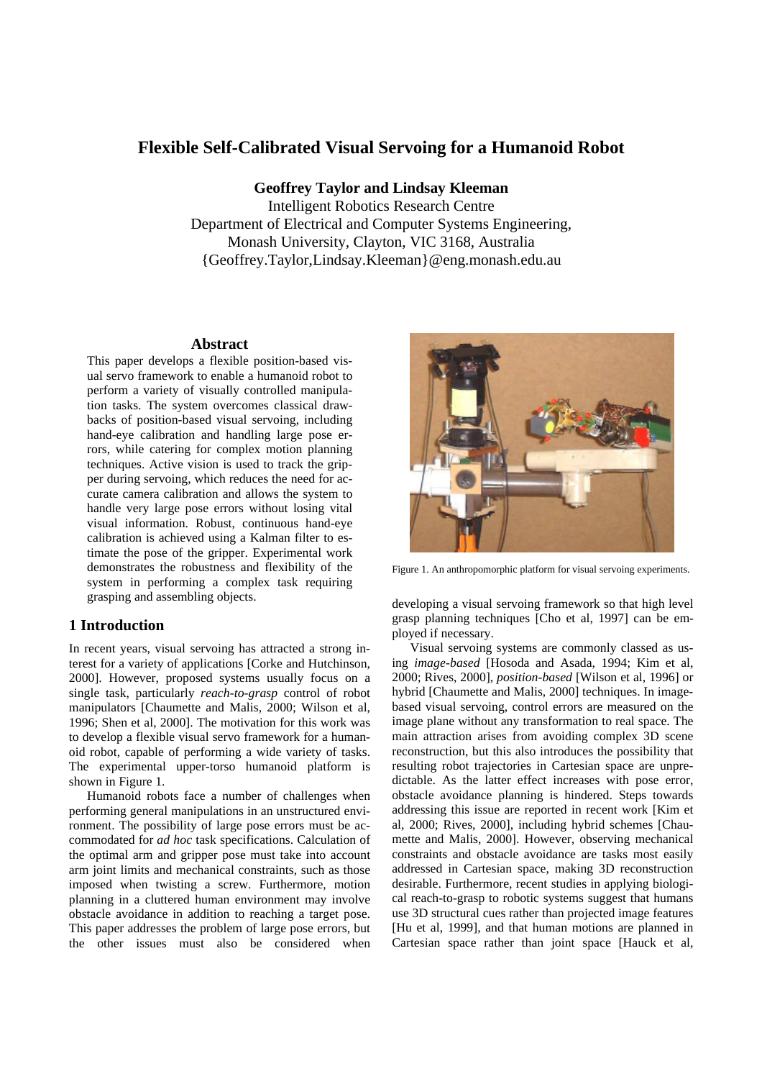# **Flexible Self-Calibrated Visual Servoing for a Humanoid Robot**

**Geoffrey Taylor and Lindsay Kleeman**

Intelligent Robotics Research Centre Department of Electrical and Computer Systems Engineering, Monash University, Clayton, VIC 3168, Australia {Geoffrey.Taylor,Lindsay.Kleeman}@eng.monash.edu.au

### **Abstract**

This paper develops a flexible position-based visual servo framework to enable a humanoid robot to perform a variety of visually controlled manipulation tasks. The system overcomes classical drawbacks of position-based visual servoing, including hand-eye calibration and handling large pose errors, while catering for complex motion planning techniques. Active vision is used to track the gripper during servoing, which reduces the need for accurate camera calibration and allows the system to handle very large pose errors without losing vital visual information. Robust, continuous hand-eye calibration is achieved using a Kalman filter to estimate the pose of the gripper. Experimental work demonstrates the robustness and flexibility of the system in performing a complex task requiring grasping and assembling objects.

### **1 Introduction**

In recent years, visual servoing has attracted a strong interest for a variety of applications [Corke and Hutchinson, 2000]. However, proposed systems usually focus on a single task, particularly *reach-to-grasp* control of robot manipulators [Chaumette and Malis, 2000; Wilson et al, 1996; Shen et al, 2000]. The motivation for this work was to develop a flexible visual servo framework for a humanoid robot, capable of performing a wide variety of tasks. The experimental upper-torso humanoid platform is shown in Figure 1.

Humanoid robots face a number of challenges when performing general manipulations in an unstructured environment. The possibility of large pose errors must be accommodated for *ad hoc* task specifications. Calculation of the optimal arm and gripper pose must take into account arm joint limits and mechanical constraints, such as those imposed when twisting a screw. Furthermore, motion planning in a cluttered human environment may involve obstacle avoidance in addition to reaching a target pose. This paper addresses the problem of large pose errors, but the other issues must also be considered when



Figure 1. An anthropomorphic platform for visual servoing experiments.

developing a visual servoing framework so that high level grasp planning techniques [Cho et al, 1997] can be employed if necessary.

Visual servoing systems are commonly classed as using *image-based* [Hosoda and Asada, 1994; Kim et al, 2000; Rives, 2000], *position-based* [Wilson et al, 1996] or hybrid [Chaumette and Malis, 2000] techniques. In imagebased visual servoing, control errors are measured on the image plane without any transformation to real space. The main attraction arises from avoiding complex 3D scene reconstruction, but this also introduces the possibility that resulting robot trajectories in Cartesian space are unpredictable. As the latter effect increases with pose error, obstacle avoidance planning is hindered. Steps towards addressing this issue are reported in recent work [Kim et al, 2000; Rives, 2000], including hybrid schemes [Chaumette and Malis, 2000]. However, observing mechanical constraints and obstacle avoidance are tasks most easily addressed in Cartesian space, making 3D reconstruction desirable. Furthermore, recent studies in applying biological reach-to-grasp to robotic systems suggest that humans use 3D structural cues rather than projected image features [Hu et al, 1999], and that human motions are planned in Cartesian space rather than joint space [Hauck et al,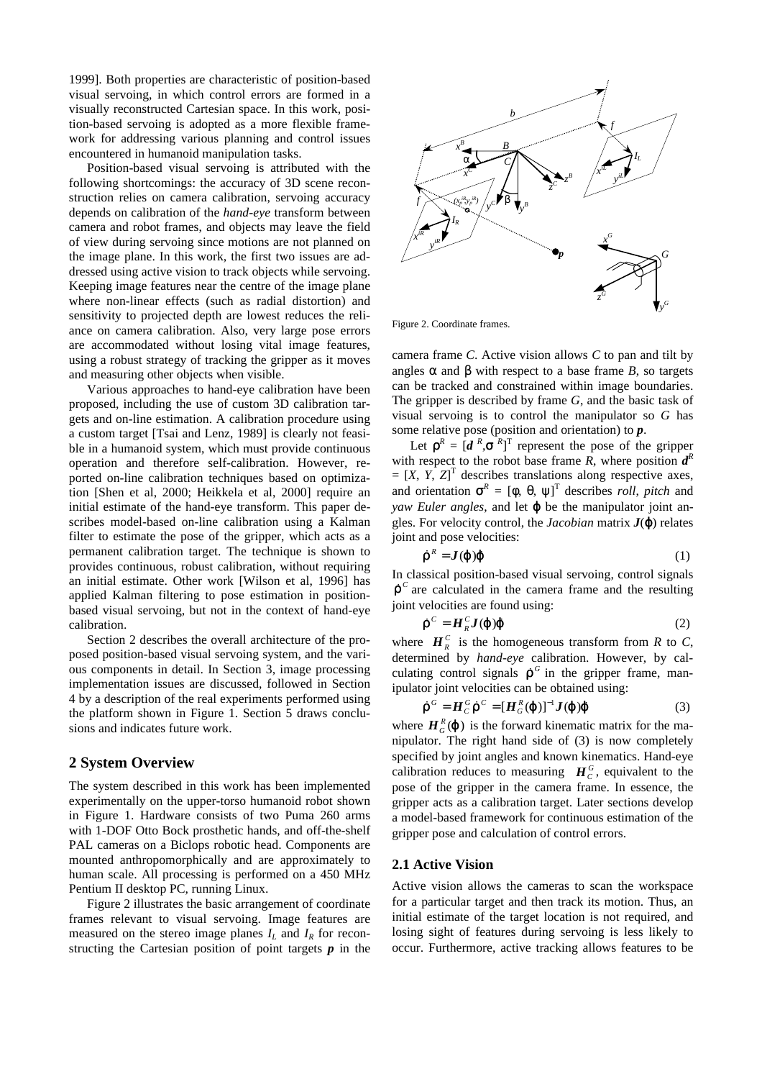1999]. Both properties are characteristic of position-based visual servoing, in which control errors are formed in a visually reconstructed Cartesian space. In this work, position-based servoing is adopted as a more flexible framework for addressing various planning and control issues encountered in humanoid manipulation tasks.

Position-based visual servoing is attributed with the following shortcomings: the accuracy of 3D scene reconstruction relies on camera calibration, servoing accuracy depends on calibration of the *hand-eye* transform between camera and robot frames, and objects may leave the field of view during servoing since motions are not planned on the image plane. In this work, the first two issues are addressed using active vision to track objects while servoing. Keeping image features near the centre of the image plane where non-linear effects (such as radial distortion) and sensitivity to projected depth are lowest reduces the reliance on camera calibration. Also, very large pose errors are accommodated without losing vital image features, using a robust strategy of tracking the gripper as it moves and measuring other objects when visible.

Various approaches to hand-eye calibration have been proposed, including the use of custom 3D calibration targets and on-line estimation. A calibration procedure using a custom target [Tsai and Lenz, 1989] is clearly not feasible in a humanoid system, which must provide continuous operation and therefore self-calibration. However, reported on-line calibration techniques based on optimization [Shen et al, 2000; Heikkela et al, 2000] require an initial estimate of the hand-eye transform. This paper describes model-based on-line calibration using a Kalman filter to estimate the pose of the gripper, which acts as a permanent calibration target. The technique is shown to provides continuous, robust calibration, without requiring an initial estimate. Other work [Wilson et al, 1996] has applied Kalman filtering to pose estimation in positionbased visual servoing, but not in the context of hand-eye calibration.

Section 2 describes the overall architecture of the proposed position-based visual servoing system, and the various components in detail. In Section 3, image processing implementation issues are discussed, followed in Section 4 by a description of the real experiments performed using the platform shown in Figure 1. Section 5 draws conclusions and indicates future work.

### **2 System Overview**

The system described in this work has been implemented experimentally on the upper-torso humanoid robot shown in Figure 1. Hardware consists of two Puma 260 arms with 1-DOF Otto Bock prosthetic hands, and off-the-shelf PAL cameras on a Biclops robotic head. Components are mounted anthropomorphically and are approximately to human scale. All processing is performed on a 450 MHz Pentium II desktop PC, running Linux.

Figure 2 illustrates the basic arrangement of coordinate frames relevant to visual servoing. Image features are measured on the stereo image planes  $I_l$  and  $I_R$  for reconstructing the Cartesian position of point targets *p* in the



Figure 2. Coordinate frames.

camera frame *C*. Active vision allows *C* to pan and tilt by angles *a* and *b* with respect to a base frame *B*, so targets can be tracked and constrained within image boundaries. The gripper is described by frame *G*, and the basic task of visual servoing is to control the manipulator so *G* has some relative pose (position and orientation) to *p*.

Let  $\mathbf{r}^R = [d^R, \mathbf{s}^R]^T$  represent the pose of the gripper with respect to the robot base frame  $\overline{R}$ , where position  $\overline{d}^R$  $=[X, Y, Z]^T$  describes translations along respective axes, and orientation  $\mathbf{s}^R = [\mathbf{f}, \mathbf{q}, \mathbf{y}]^T$  describes *roll*, *pitch* and *yaw Euler angles*, and let *j* be the manipulator joint angles. For velocity control, the *Jacobian* matrix *J*(*j*) relates joint and pose velocities:

$$
\dot{\mathbf{r}}^R = \mathbf{J}(\mathbf{j}|\mathbf{j} \tag{1}
$$

In classical position-based visual servoing, control signals  $\dot{\mathbf{r}}^c$  are calculated in the camera frame and the resulting joint velocities are found using:

$$
\dot{\boldsymbol{r}}^C = \boldsymbol{H}_R^C \boldsymbol{J} (\boldsymbol{j} ) \boldsymbol{j} \tag{2}
$$

where  $H_R^C$  is the homogeneous transform from *R* to *C*, determined by *hand-eye* calibration. However, by calculating control signals  $\dot{\mathbf{r}}^G$  in the gripper frame, manipulator joint velocities can be obtained using:

$$
\dot{\boldsymbol{r}}^G = \boldsymbol{H}_C^G \dot{\boldsymbol{r}}^C = [\boldsymbol{H}_G^R(\boldsymbol{j})]^{-1} \boldsymbol{J}(\boldsymbol{j}) \boldsymbol{j}
$$
(3)

where  $H_G^R(\mathbf{j})$  is the forward kinematic matrix for the manipulator. The right hand side of (3) is now completely specified by joint angles and known kinematics. Hand-eye calibration reduces to measuring  $H_c^G$ , equivalent to the pose of the gripper in the camera frame. In essence, the gripper acts as a calibration target. Later sections develop a model-based framework for continuous estimation of the gripper pose and calculation of control errors.

#### **2.1 Active Vision**

Active vision allows the cameras to scan the workspace for a particular target and then track its motion. Thus, an initial estimate of the target location is not required, and losing sight of features during servoing is less likely to occur. Furthermore, active tracking allows features to be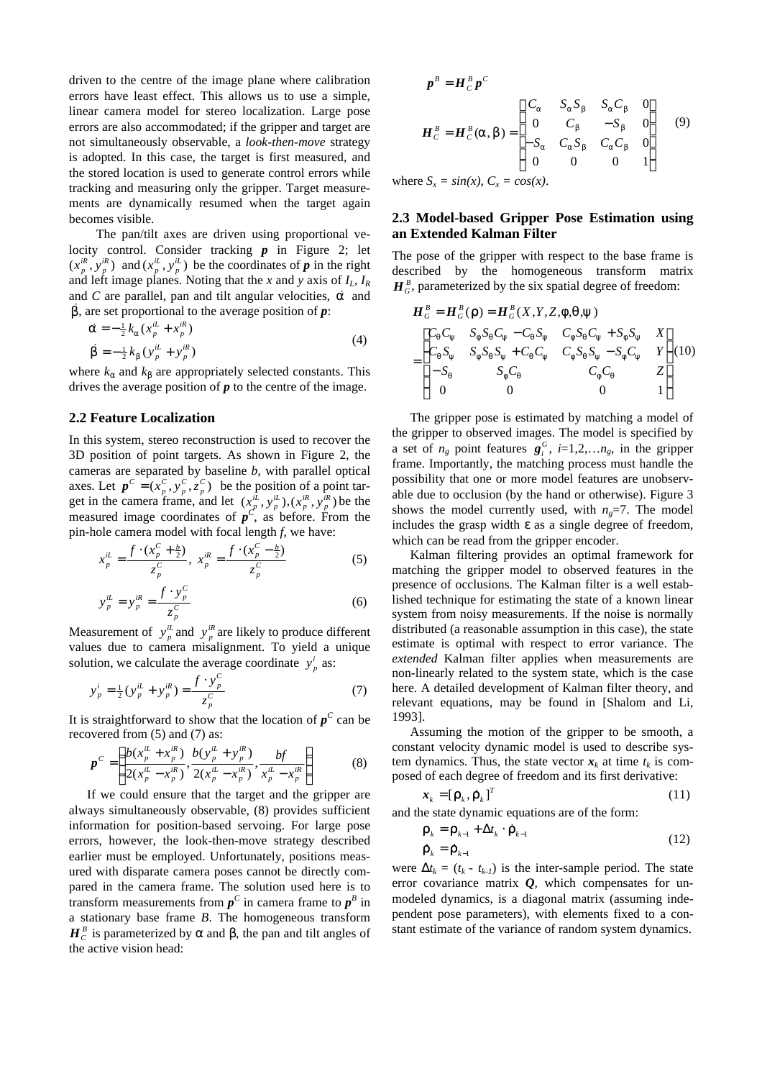driven to the centre of the image plane where calibration errors have least effect. This allows us to use a simple, linear camera model for stereo localization. Large pose errors are also accommodated; if the gripper and target are not simultaneously observable, a *look-then-move* strategy is adopted. In this case, the target is first measured, and the stored location is used to generate control errors while tracking and measuring only the gripper. Target measurements are dynamically resumed when the target again becomes visible.

The pan/tilt axes are driven using proportional velocity control. Consider tracking *p* in Figure 2; let  $(x_p^{iR}, y_p^{iR})$  and  $(x_p^{iL}, y_p^{iL})$  be the coordinates of *p* in the right and left image planes. Noting that the *x* and *y* axis of  $I_L$ ,  $I_R$ and *C* are parallel, pan and tilt angular velocities,  $\dot{a}$  and  $\vec{b}$ , are set proportional to the average position of  $\vec{p}$ :

$$
\dot{\mathbf{a}} = -\frac{1}{2}k_{\mathbf{a}}(x_{p}^{iL} + x_{p}^{iR})
$$
\n
$$
\dot{\mathbf{b}} = -\frac{1}{2}k_{\mathbf{b}}(y_{p}^{iL} + y_{p}^{iR})
$$
\n(4)

where  $k_a$  and  $k_b$  are appropriately selected constants. This drives the average position of *p* to the centre of the image.

### **2.2 Feature Localization**

In this system, stereo reconstruction is used to recover the 3D position of point targets. As shown in Figure 2, the cameras are separated by baseline *b*, with parallel optical axes. Let  $p^C = (x_n^C, y_n^C, z_n^C)$  be the position of a point target in the camera frame, and let  $(x_n^{\mu}, y_n^{\mu}), (x_n^{\mu}, y_n^{\mu})$  be the measured image coordinates of  $p^C$ , as before. From the pin-hole camera model with focal length *f*, we have:  $p^{C} = (x_{p}^{C}, y_{p}^{C}, z_{p}^{C})$  $(x_p^{iL}, y_p^{iL}), (x_p^{iR}, y_p^{iR})$ 

$$
x_p^{iL} = \frac{f \cdot (x_p^C + \frac{b}{2})}{z_p^C}, \ x_p^{iR} = \frac{f \cdot (x_p^C - \frac{b}{2})}{z_p^C}
$$
 (5)

$$
y_p^{iL} = y_p^{iR} = \frac{f \cdot y_p^C}{z_p^C} \tag{6}
$$

Measurement of  $y_p^i$  and  $y_p^i$  are likely to produce different values due to camera misalignment. To yield a unique solution, we calculate the average coordinate  $y_p^i$  as:

$$
y_p^i = \frac{1}{2} (y_p^{iL} + y_p^{iR}) = \frac{f \cdot y_p^C}{z_p^C}
$$
 (7)

It is straightforward to show that the location of  $p^C$  can be recovered from (5) and (7) as:

$$
\boldsymbol{p}^C = \left( \frac{b(x_p^{\mu} + x_p^{\mu})}{2(x_p^{\mu} - x_p^{\mu})}, \frac{b(y_p^{\mu} + y_p^{\mu})}{2(x_p^{\mu} - x_p^{\mu})}, \frac{bf}{x_p^{\mu} - x_p^{\mu}} \right)
$$
(8)

If we could ensure that the target and the gripper are always simultaneously observable, (8) provides sufficient information for position-based servoing. For large pose errors, however, the look-then-move strategy described earlier must be employed. Unfortunately, positions measured with disparate camera poses cannot be directly compared in the camera frame. The solution used here is to transform measurements from  $p^C$  in camera frame to  $p^B$  in a stationary base frame *B*. The homogeneous transform  $H_c^B$  is parameterized by *a* and *b*, the pan and tilt angles of the active vision head:

$$
\mathbf{P}^{B} = \mathbf{H}_{C}^{B} \mathbf{p}^{C}
$$
\n
$$
\mathbf{H}_{C}^{B} = \mathbf{H}_{C}^{B}(\mathbf{a}, \mathbf{b}) = \begin{bmatrix} C_{a} & S_{a} S_{b} & S_{a} C_{b} & 0 \\ 0 & C_{b} & -S_{b} & 0 \\ -S_{a} & C_{a} S_{b} & C_{a} C_{b} & 0 \\ 0 & 0 & 0 & 1 \end{bmatrix} \tag{9}
$$

where  $S_x = sin(x)$ ,  $C_x = cos(x)$ .

# **2.3 Model-based Gripper Pose Estimation using an Extended Kalman Filter**

The pose of the gripper with respect to the base frame is described by the homogeneous transform matrix  $H_G^B$ , parameterized by the six spatial degree of freedom:

$$
H_G^B = H_G^B(\mathbf{r}) = H_G^B(X, Y, Z, f, q, y)
$$
  
= 
$$
\begin{bmatrix} C_q C_y & S_f S_q C_y - C_q S_y & C_f S_q C_y + S_f S_y & X \\ C_q S_y & S_f S_q S_y + C_q C_y & C_f S_q S_y - S_f C_y & Y \\ -S_q & S_f C_q & C_f C_q & Z \\ 0 & 0 & 0 & 1 \end{bmatrix} (10)
$$

The gripper pose is estimated by matching a model of the gripper to observed images. The model is specified by a set of  $n_g$  point features  $g_i^G$ ,  $i=1,2,...n_g$ , in the gripper frame. Importantly, the matching process must handle the possibility that one or more model features are unobservable due to occlusion (by the hand or otherwise). Figure 3 shows the model currently used, with  $n<sub>g</sub>=7$ . The model includes the grasp width *e* as a single degree of freedom, which can be read from the gripper encoder.

Kalman filtering provides an optimal framework for matching the gripper model to observed features in the presence of occlusions. The Kalman filter is a well established technique for estimating the state of a known linear system from noisy measurements. If the noise is normally distributed (a reasonable assumption in this case), the state estimate is optimal with respect to error variance. The *extended* Kalman filter applies when measurements are non-linearly related to the system state, which is the case here. A detailed development of Kalman filter theory, and relevant equations, may be found in [Shalom and Li, 1993].

Assuming the motion of the gripper to be smooth, a constant velocity dynamic model is used to describe system dynamics. Thus, the state vector  $x_k$  at time  $t_k$  is composed of each degree of freedom and its first derivative:

$$
\boldsymbol{x}_{k} = [\boldsymbol{r}_{k}, \dot{\boldsymbol{r}}_{k}]^{T} \tag{11}
$$

and the state dynamic equations are of the form:

$$
\mathbf{r}_{k} = \mathbf{r}_{k-1} + \mathbf{D}t_{k} \cdot \dot{\mathbf{r}}_{k-1} \n\dot{\mathbf{r}}_{k} = \dot{\mathbf{r}}_{k-1}
$$
\n(12)

were  $\mathbf{D}t_k = (t_k - t_{k-1})$  is the inter-sample period. The state error covariance matrix *Q*, which compensates for unmodeled dynamics, is a diagonal matrix (assuming independent pose parameters), with elements fixed to a constant estimate of the variance of random system dynamics.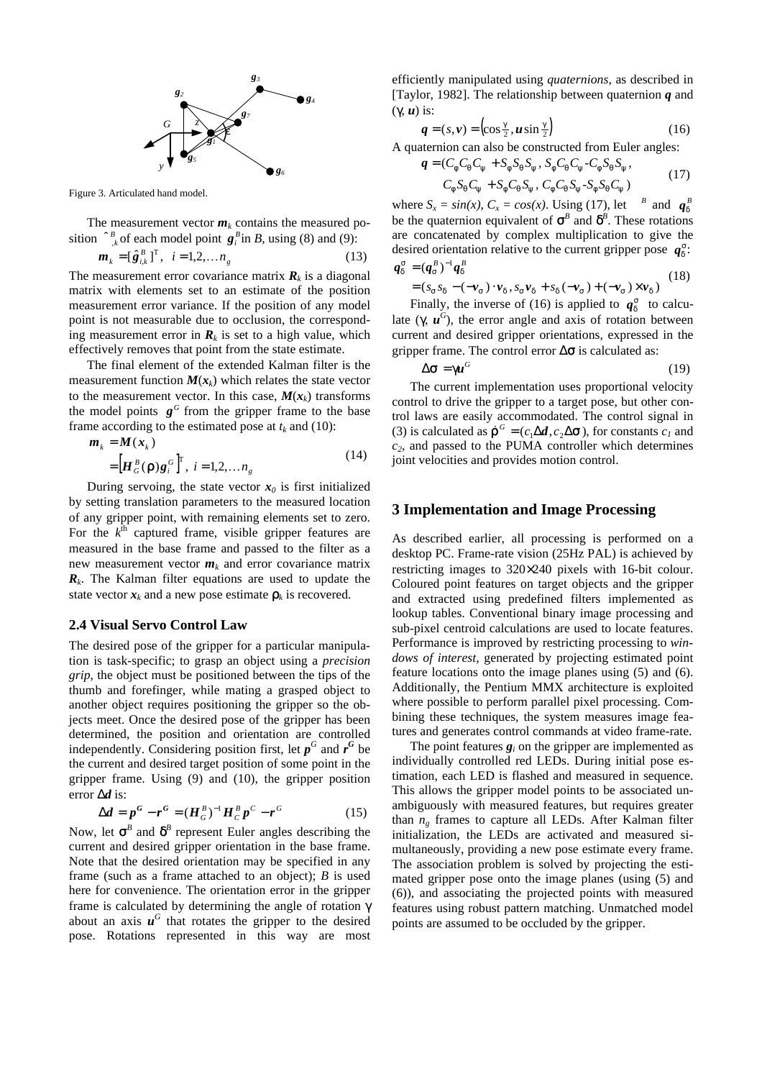

Figure 3. Articulated hand model.

The measurement vector  $m_k$  contains the measured position  $\int_{-k}^{B}$  of each model point  $g_i^B$  in *B*, using (8) and (9):

$$
\boldsymbol{m}_{k} = [\hat{\boldsymbol{g}}_{i,k}^{B}]^{T}, \quad i = 1, 2, \dots n_{g}
$$
 (13)

The measurement error covariance matrix  $\mathbf{R}_k$  is a diagonal matrix with elements set to an estimate of the position measurement error variance. If the position of any model point is not measurable due to occlusion, the corresponding measurement error in  $\mathbf{R}_k$  is set to a high value, which effectively removes that point from the state estimate.

The final element of the extended Kalman filter is the measurement function  $M(x_k)$  which relates the state vector to the measurement vector. In this case,  $M(x_k)$  transforms the model points  $g^G$  from the gripper frame to the base frame according to the estimated pose at  $t_k$  and (10):

$$
\mathbf{m}_{k} = \mathbf{M}(\mathbf{x}_{k})
$$
  
= 
$$
[\mathbf{H}_{G}^{B}(\mathbf{r})\mathbf{g}_{i}^{G}]^{\mathrm{T}}, i = 1, 2, ..., n_{g}
$$
 (14)

During servoing, the state vector  $x_0$  is first initialized by setting translation parameters to the measured location of any gripper point, with remaining elements set to zero. For the  $k^{\text{th}}$  captured frame, visible gripper features are measured in the base frame and passed to the filter as a new measurement vector  $m_k$  and error covariance matrix *Rk* . The Kalman filter equations are used to update the state vector  $x_k$  and a new pose estimate  $r_k$  is recovered.

#### **2.4 Visual Servo Control Law**

The desired pose of the gripper for a particular manipulation is task-specific; to grasp an object using a *precision grip*, the object must be positioned between the tips of the thumb and forefinger, while mating a grasped object to another object requires positioning the gripper so the objects meet. Once the desired pose of the gripper has been determined, the position and orientation are controlled independently. Considering position first, let  $p^G$  and  $r^G$  be the current and desired target position of some point in the gripper frame. Using (9) and (10), the gripper position error *Dd* is:

$$
Dd = p^{G} - r^{G} = (H_{G}^{B})^{-1} H_{C}^{B} p^{C} - r^{G}
$$
 (15)

Now, let  $s^B$  and  $d^B$  represent Euler angles describing the current and desired gripper orientation in the base frame. Note that the desired orientation may be specified in any frame (such as a frame attached to an object); *B* is used here for convenience. The orientation error in the gripper frame is calculated by determining the angle of rotation *g* about an axis  $\mathbf{u}^G$  that rotates the gripper to the desired pose. Rotations represented in this way are most

efficiently manipulated using *quaternions*, as described in [Taylor, 1982]. The relationship between quaternion *q* and (*g*, *u*) is:

$$
\boldsymbol{q} = (s, \boldsymbol{v}) = \left(\cos\frac{\boldsymbol{g}}{2}, \boldsymbol{u}\sin\frac{\boldsymbol{g}}{2}\right) \tag{16}
$$

A quaternion can also be constructed from Euler angles:

$$
q = (C_f C_q C_y + S_f S_q S_y, S_f C_q C_y - C_f S_q S_y, C_f S_q C_y + S_f C_q S_y, C_f C_q S_y - S_f S_q C_y)
$$
 (17)

where  $S_x = \sin(x)$ ,  $C_x = \cos(x)$ . Using (17), let <sup>*B*</sup> and  $q_d^B$ be the quaternion equivalent of  $s^{\beta}$  and  $d^{\beta}$ . These rotations are concatenated by complex multiplication to give the desired orientation relative to the current gripper pose  $q_d^s$ :  $q_d^s = (q_s^B)^{-1} q_d^B$ 

$$
= (s_s s_d - (-\nu_s) \cdot \nu_d, s_s \nu_d + s_d (-\nu_s) + (-\nu_s) \times \nu_d)
$$
 (18)

Finally, the inverse of (16) is applied to  $q_d^s$  to calculate  $(g, u^G)$ , the error angle and axis of rotation between current and desired gripper orientations, expressed in the gripper frame. The control error *Ds* is calculated as:

$$
Ds = gu^G \tag{19}
$$

The current implementation uses proportional velocity control to drive the gripper to a target pose, but other control laws are easily accommodated. The control signal in (3) is calculated as  $\dot{\mathbf{r}}^G = (c_1 \mathbf{D} \mathbf{d}, c_2 \mathbf{D} \mathbf{s})$ , for constants  $c_I$  and *c2*, and passed to the PUMA controller which determines joint velocities and provides motion control.

#### **3 Implementation and Image Processing**

As described earlier, all processing is performed on a desktop PC. Frame-rate vision (25Hz PAL) is achieved by restricting images to 320×240 pixels with 16-bit colour. Coloured point features on target objects and the gripper and extracted using predefined filters implemented as lookup tables. Conventional binary image processing and sub-pixel centroid calculations are used to locate features. Performance is improved by restricting processing to *windows of interest*, generated by projecting estimated point feature locations onto the image planes using (5) and (6). Additionally, the Pentium MMX architecture is exploited where possible to perform parallel pixel processing. Combining these techniques, the system measures image features and generates control commands at video frame-rate.

The point features  $g_i$  on the gripper are implemented as individually controlled red LEDs. During initial pose estimation, each LED is flashed and measured in sequence. This allows the gripper model points to be associated unambiguously with measured features, but requires greater than  $n_g$  frames to capture all LEDs. After Kalman filter initialization, the LEDs are activated and measured simultaneously, providing a new pose estimate every frame. The association problem is solved by projecting the estimated gripper pose onto the image planes (using (5) and (6)), and associating the projected points with measured features using robust pattern matching. Unmatched model points are assumed to be occluded by the gripper.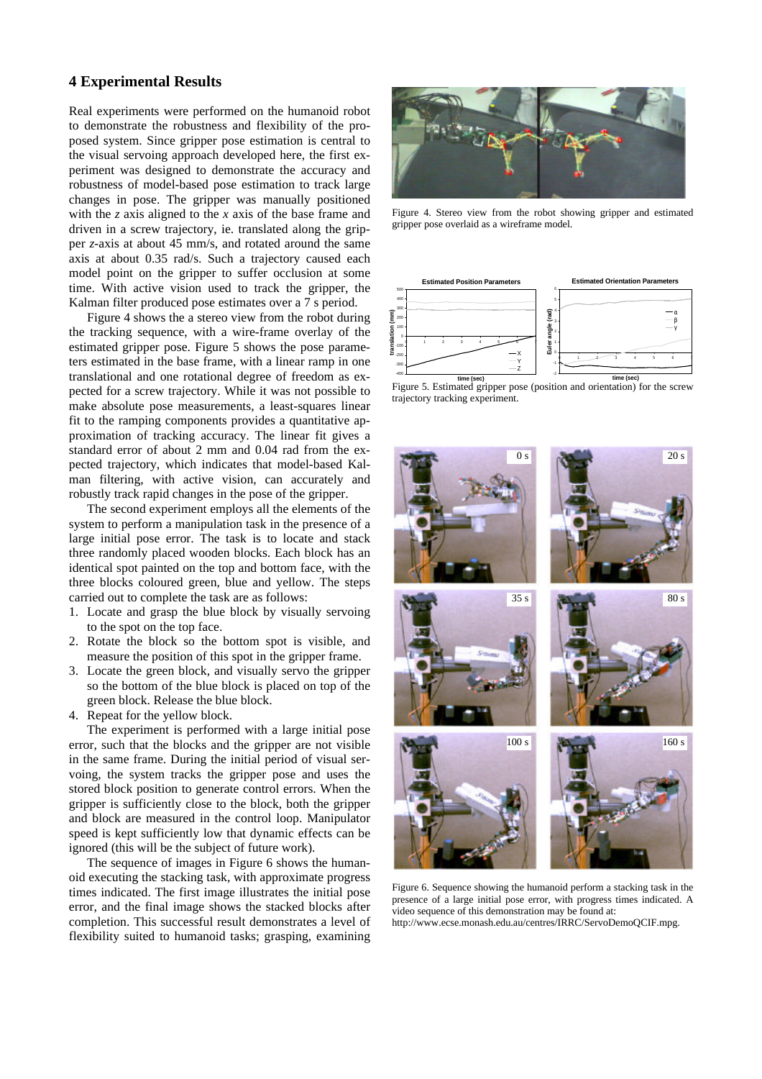# **4 Experimental Results**

Real experiments were performed on the humanoid robot to demonstrate the robustness and flexibility of the proposed system. Since gripper pose estimation is central to the visual servoing approach developed here, the first experiment was designed to demonstrate the accuracy and robustness of model-based pose estimation to track large changes in pose. The gripper was manually positioned with the *z* axis aligned to the *x* axis of the base frame and driven in a screw trajectory, ie. translated along the gripper *z*-axis at about 45 mm/s, and rotated around the same axis at about 0.35 rad/s. Such a trajectory caused each model point on the gripper to suffer occlusion at some time. With active vision used to track the gripper, the Kalman filter produced pose estimates over a 7 s period.

Figure 4 shows the a stereo view from the robot during the tracking sequence, with a wire-frame overlay of the estimated gripper pose. Figure 5 shows the pose parameters estimated in the base frame, with a linear ramp in one translational and one rotational degree of freedom as expected for a screw trajectory. While it was not possible to make absolute pose measurements, a least-squares linear fit to the ramping components provides a quantitative approximation of tracking accuracy. The linear fit gives a standard error of about 2 mm and 0.04 rad from the expected trajectory, which indicates that model-based Kalman filtering, with active vision, can accurately and robustly track rapid changes in the pose of the gripper.

The second experiment employs all the elements of the system to perform a manipulation task in the presence of a large initial pose error. The task is to locate and stack three randomly placed wooden blocks. Each block has an identical spot painted on the top and bottom face, with the three blocks coloured green, blue and yellow. The steps carried out to complete the task are as follows:

- 1. Locate and grasp the blue block by visually servoing to the spot on the top face.
- 2. Rotate the block so the bottom spot is visible, and measure the position of this spot in the gripper frame.
- 3. Locate the green block, and visually servo the gripper so the bottom of the blue block is placed on top of the green block. Release the blue block.
- 4. Repeat for the yellow block.

The experiment is performed with a large initial pose error, such that the blocks and the gripper are not visible in the same frame. During the initial period of visual servoing, the system tracks the gripper pose and uses the stored block position to generate control errors. When the gripper is sufficiently close to the block, both the gripper and block are measured in the control loop. Manipulator speed is kept sufficiently low that dynamic effects can be ignored (this will be the subject of future work).

The sequence of images in Figure 6 shows the humanoid executing the stacking task, with approximate progress times indicated. The first image illustrates the initial pose error, and the final image shows the stacked blocks after completion. This successful result demonstrates a level of flexibility suited to humanoid tasks; grasping, examining



Figure 4. Stereo view from the robot showing gripper and estimated gripper pose overlaid as a wireframe model.







Figure 6. Sequence showing the humanoid perform a stacking task in the presence of a large initial pose error, with progress times indicated. A video sequence of this demonstration may be found at: http://www.ecse.monash.edu.au/centres/IRRC/ServoDemoQCIF.mpg.